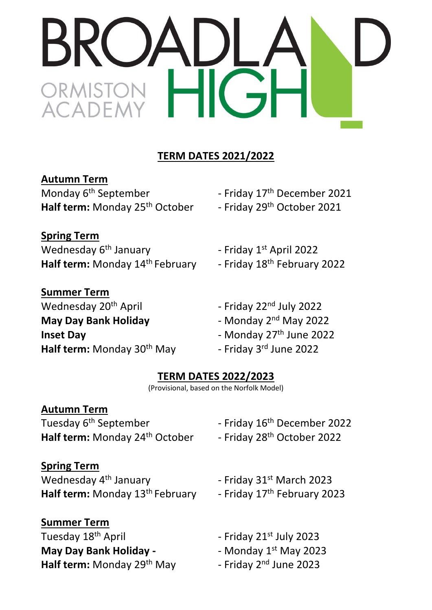# **TERM DATES 2021/2022**

**Autumn Term**

Monday 6<sup>th</sup> September **Films** - Friday 17 Half term: Monday 25<sup>th</sup> October - Friday 29<sup>th</sup> October 2021

- Friday 17<sup>th</sup> December 2021

**Spring Term** Wednesday  $6<sup>th</sup>$  January Half term: Monday 14<sup>th</sup> February - Friday 18

- Friday 1st April 2022

- Friday 18<sup>th</sup> February 2022

**Summer Term** Wednesday  $20^{th}$  April  $-$  Friday  $22^{nd}$  July 2022 **May Day Bank Holiday Inset Day 1988** - Monday 27<sup>th</sup> June 2022 **Half term:** Monday 30

- Monday 2<sup>nd</sup> May 2022
- <sup>th</sup> May 10 Friday 3rd June 2022

## **TERM DATES 2022/2023**

(Provisional, based on the Norfolk Model)

## **Autumn Term**

Tuesday 6<sup>th</sup> September Half term: Monday 24<sup>th</sup> October - Friday 28<sup>th</sup> October 2022

- Friday 16<sup>th</sup> December 2022

## **Spring Term**

Wednesday  $4<sup>th</sup>$  January  $-$  Friday 31<sup>st</sup> March 2023 Half term: Monday 13<sup>th</sup> February - Friday 17

**Summer Term** Tuesday 18<sup>th</sup> April **May Day Bank Holiday -Half term:** Monday 29<sup>th</sup> May

- Friday 17<sup>th</sup> February 2023

- Friday  $21^{st}$  July 2023

- Monday  $1<sup>st</sup>$  May 2023

- Friday 2<sup>nd</sup> June 2023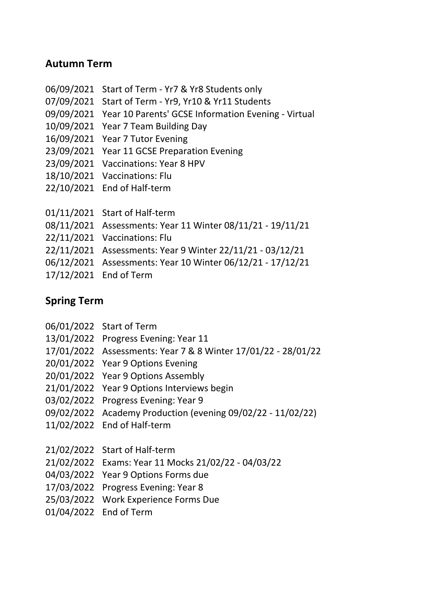#### **Autumn Term**

- 06/09/2021 Start of Term Yr7 & Yr8 Students only
- 07/09/2021 Start of Term Yr9, Yr10 & Yr11 Students
- 09/09/2021 Year 10 Parents' GCSE Information Evening Virtual
- 10/09/2021 Year 7 Team Building Day
- 16/09/2021 Year 7 Tutor Evening
- 23/09/2021 Year 11 GCSE Preparation Evening
- 23/09/2021 Vaccinations: Year 8 HPV
- 18/10/2021 Vaccinations: Flu
- 22/10/2021 End of Half-term
- 01/11/2021 Start of Half-term
- 08/11/2021 Assessments: Year 11 Winter 08/11/21 19/11/21
- 22/11/2021 Vaccinations: Flu
- 22/11/2021 Assessments: Year 9 Winter 22/11/21 03/12/21
- 06/12/2021 Assessments: Year 10 Winter 06/12/21 17/12/21
- 17/12/2021 End of Term

### **Spring Term**

- 06/01/2022 Start of Term
- 13/01/2022 Progress Evening: Year 11
- 17/01/2022 Assessments: Year 7 & 8 Winter 17/01/22 28/01/22
- 20/01/2022 Year 9 Options Evening
- 20/01/2022 Year 9 Options Assembly
- 21/01/2022 Year 9 Options Interviews begin
- 03/02/2022 Progress Evening: Year 9
- 09/02/2022 Academy Production (evening 09/02/22 11/02/22)
- 11/02/2022 End of Half-term
- 21/02/2022 Start of Half-term
- 21/02/2022 Exams: Year 11 Mocks 21/02/22 04/03/22
- 04/03/2022 Year 9 Options Forms due
- 17/03/2022 Progress Evening: Year 8
- 25/03/2022 Work Experience Forms Due
- 01/04/2022 End of Term